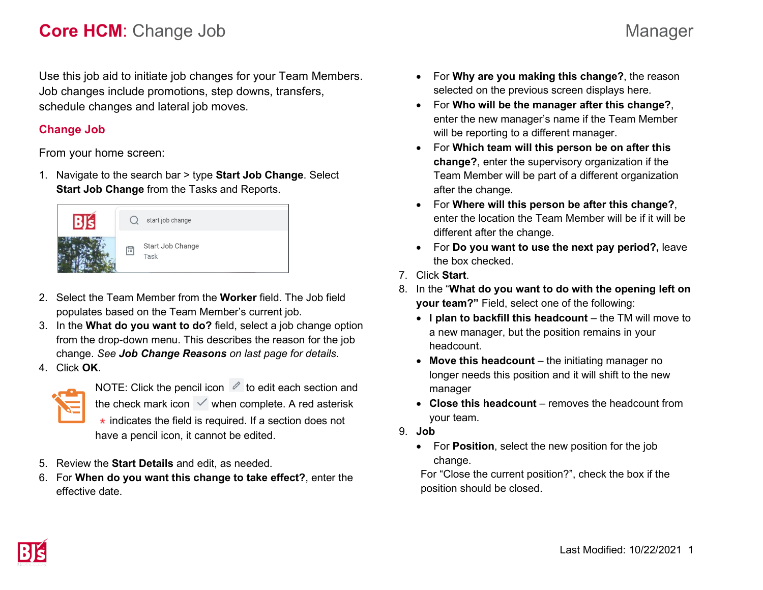# **Core HCM**: Change Job Manager

Use this job aid to initiate job changes for your Team Members. Job changes include promotions, step downs, transfers, schedule changes and lateral job moves.

# **Change Job**

From your home screen:

1. Navigate to the search bar > type **Start Job Change**. Select **Start Job Change** from the Tasks and Reports.



- 2. Select the Team Member from the **Worker** field. The Job field populates based on the Team Member's current job.
- 3. In the **What do you want to do?** field, select a job change option from the drop-down menu. This describes the reason for the job change. *See Job Change Reasons on last page for details.*
- 4. Click **OK**.



NOTE: Click the pencil icon  $\mathscr O$  to edit each section and the check mark icon  $\vee$  when complete. A red asterisk  $\star$  indicates the field is required. If a section does not have a pencil icon, it cannot be edited.

- 5. Review the **Start Details** and edit, as needed.
- 6. For **When do you want this change to take effect?**, enter the effective date.
- For **Why are you making this change?**, the reason selected on the previous screen displays here.
- For **Who will be the manager after this change?**, enter the new manager's name if the Team Member will be reporting to a different manager.
- For **Which team will this person be on after this change?**, enter the supervisory organization if the Team Member will be part of a different organization after the change.
- For **Where will this person be after this change?**, enter the location the Team Member will be if it will be different after the change.
- For **Do you want to use the next pay period?,** leave the box checked.
- 7. Click **Start**.
- 8. In the "**What do you want to do with the opening left on your team?"** Field, select one of the following:
	- I plan to backfill this headcount the TM will move to a new manager, but the position remains in your headcount.
	- **Move this headcount** the initiating manager no longer needs this position and it will shift to the new manager
	- **Close this headcount**  removes the headcount from your team.
- 9. **Job**
	- For **Position**, select the new position for the job change.

For "Close the current position?", check the box if the position should be closed.

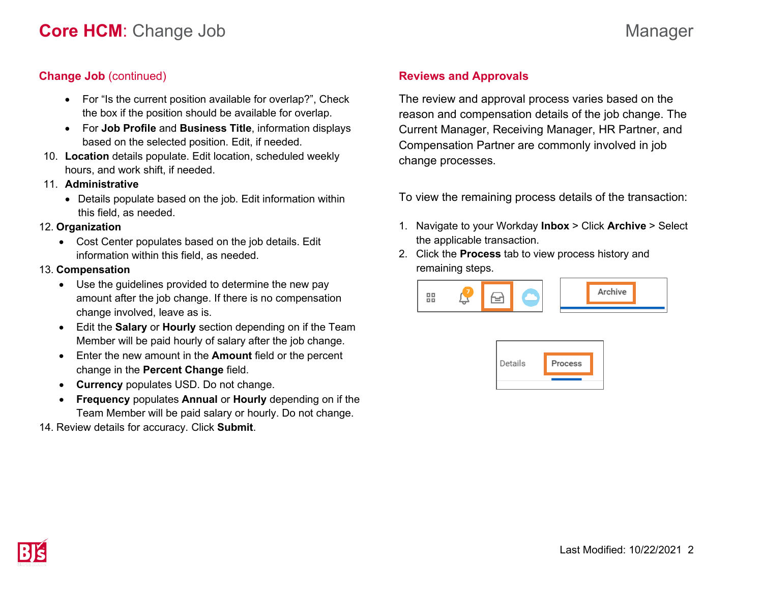# **Change Job** (continued)

- For "Is the current position available for overlap?", Check the box if the position should be available for overlap.
- For **Job Profile** and **Business Title**, information displays based on the selected position. Edit, if needed.
- 10. **Location** details populate. Edit location, scheduled weekly hours, and work shift, if needed.
- 11. **Administrative**
	- Details populate based on the job. Edit information within this field, as needed.

#### 12. **Organization**

• Cost Center populates based on the job details. Edit information within this field, as needed.

### 13. **Compensation**

- Use the guidelines provided to determine the new pay amount after the job change. If there is no compensation change involved, leave as is.
- Edit the **Salary** or **Hourly** section depending on if the Team Member will be paid hourly of salary after the job change.
- Enter the new amount in the **Amount** field or the percent change in the **Percent Change** field.
- **Currency** populates USD. Do not change.
- **Frequency** populates **Annual** or **Hourly** depending on if the Team Member will be paid salary or hourly. Do not change.
- 14. Review details for accuracy. Click **Submit**.

# **Reviews and Approvals**

The review and approval process varies based on the reason and compensation details of the job change. The Current Manager, Receiving Manager, HR Partner, and Compensation Partner are commonly involved in job change processes.

To view the remaining process details of the transaction:

- 1. Navigate to your Workday **Inbox** > Click **Archive** > Select the applicable transaction.
- 2. Click the **Process** tab to view process history and remaining steps.